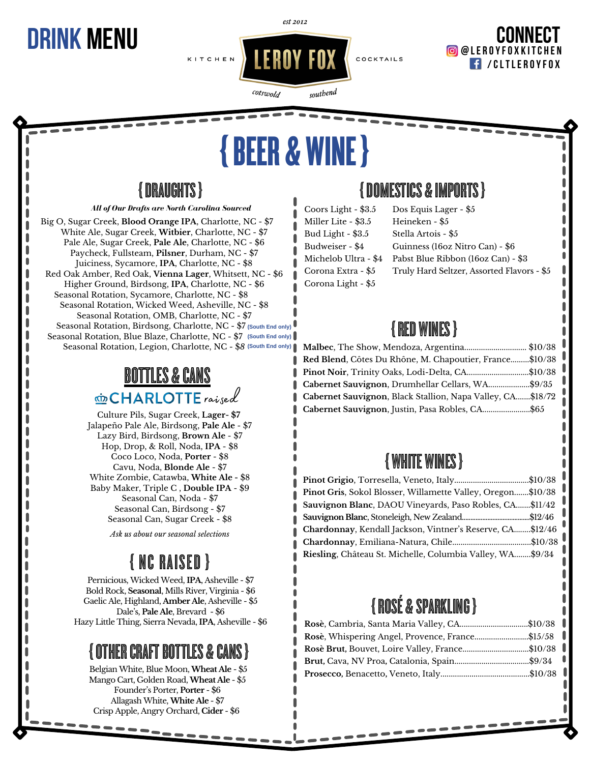est 2012

## **/CLTLE R OYFO X CONNECT DR @LE <sup>R</sup> OYFO <sup>X</sup> <sup>K</sup> ITC <sup>H</sup> <sup>E</sup> <sup>N</sup> INK MENU**

# {BEER& WINE}

cotswold

southend

## {DRAUGHTS}

*All of Our Drafts are North Carolina Sourced*

Big O, Sugar Creek, **Blood Orange IPA**, Charlotte, NC - \$7 White Ale, Sugar Creek, **Witbier**, Charlotte, NC - \$7 Pale Ale, Sugar Creek, **Pale Ale**, Charlotte, NC - \$6 Paycheck, Fullsteam, **Pilsner**, Durham, NC - \$7 Juiciness, Sycamore, **IPA**, Charlotte, NC - \$8 Red Oak Amber, Red Oak, **Vienna Lager**, Whitsett, NC - \$6 Higher Ground, Birdsong, **IPA**, Charlotte, NC - \$6 Seasonal Rotation, Sycamore, Charlotte, NC - \$8 Seasonal Rotation, Wicked Weed, Asheville, NC - \$8 Seasonal Rotation, OMB, Charlotte, NC - \$7 Seasonal Rotation, Birdsong, Charlotte, NC - \$7 **(South End only)** Seasonal Rotation, Blue Blaze, Charlotte, NC - \$7 **(South End only)**Seasonal Rotation, Legion, Charlotte, NC - \$*8* **(South End only)**

## **BOTTLES & CANS** cHARLOTTE raised

Culture Pils, Sugar Creek, **Lager- \$7** Jalapeño Pale Ale, Birdsong, **Pale Ale** - \$7 Lazy Bird, Birdsong, **Brown Ale** - \$7 Hop, Drop, & Roll, Noda, **IPA** - \$8 Coco Loco, Noda, **Porter** - \$8 Cavu, Noda, **Blonde Ale** - \$7 White Zombie, Catawba, **White Ale -** \$8 Baby Maker, Triple C , **Double IPA** - \$9 Seasonal Can, Noda - \$7 Seasonal Can, Birdsong - \$7 Seasonal Can, Sugar Creek - \$8

*Ask us about our seasonal selections*

## { NC RAISED }

Pernicious, Wicked Weed, **IPA**, Asheville - \$7 Bold Rock, **Seasonal**, Mills River, Virginia - \$6 Gaelic Ale, Highland, **Amber Ale**, Asheville - \$5 Dale's, **Pale Ale**, Brevard - \$6 Hazy Little Thing, Sierra Nevada, **IPA**, Asheville - \$6

### **{ OTHER CRAFT BOTTLES & CAI**

Belgian White, Blue Moon,**Wheat Ale** - \$5 Mango Cart, Golden Road,**Wheat Ale** - \$5 Founder's Porter, **Porter** - \$6 Allagash White,**White Ale** - \$7 Crisp Apple, Angry Orchard, **Cider** - \$6

### {DOMESTICS&IMPORTS}

Coors Light - \$3.5 Miller Lite - \$3.5 Bud Light - \$3.5 Budweiser - \$4 Michelob Ultra - \$4 Corona Extra - \$5 Corona Light - \$5

Dos Equis Lager - \$5 Heineken - \$5 Stella Artois - \$5 Guinness (16oz Nitro Can) - \$6 Pabst Blue Ribbon (16oz Can) - \$3 Truly Hard Seltzer, Assorted Flavors - \$5

## {RED WINES}

| Malbec, The Show, Mendoza, Argentina\$10/38                |  |
|------------------------------------------------------------|--|
| Red Blend, Côtes Du Rhône, M. Chapoutier, France\$10/38    |  |
| Pinot Noir, Trinity Oaks, Lodi-Delta, CA\$10/38            |  |
| Cabernet Sauvignon, Drumhellar Cellars, WA\$9/35           |  |
| Cabernet Sauvignon, Black Stallion, Napa Valley, CA\$18/72 |  |
| Cabernet Sauvignon, Justin, Pasa Robles, CA\$65            |  |
|                                                            |  |

## { WHITE WINES}

| Pinot Grigio, Torresella, Veneto, Italy\$10/38              |  |
|-------------------------------------------------------------|--|
| Pinot Gris, Sokol Blosser, Willamette Valley, Oregon\$10/38 |  |
| Sauvignon Blanc, DAOU Vineyards, Paso Robles, CA\$11/42     |  |
|                                                             |  |
| Chardonnay, Kendall Jackson, Vintner's Reserve, CA\$12/46   |  |
|                                                             |  |
| Riesling, Château St. Michelle, Columbia Valley, WA\$9/34   |  |

## {ROSÉ&SPARKLING}

| Rosè, Cambria, Santa Maria Valley, CA\$10/38    |  |
|-------------------------------------------------|--|
| Rosè, Whispering Angel, Provence, France\$15/58 |  |
| Rosè Brut, Bouvet, Loire Valley, France\$10/38  |  |
|                                                 |  |
|                                                 |  |
|                                                 |  |